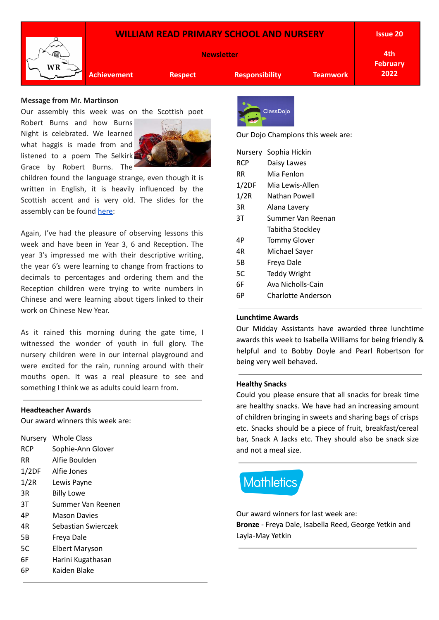## **WILLIAM READ PRIMARY SCHOOL AND NURSERY**



**Newsletter**

**Issue 20**

**4th February 2022**

**Achievement Respect Responsibility Teamwork**

# **Message from Mr. Martinson**

Our assembly this week was on the Scottish poet

Robert Burns and how Burns Night is celebrated. We learned what haggis is made from and listened to a poem The Selkirk Grace by Robert Burns. The



children found the language strange, even though it is written in English, it is heavily influenced by the Scottish accent and is very old. The slides for the assembly can be found [here](https://docs.google.com/presentation/u/0/d/1y0RuJjbhsdWS1IjkwvFkCBBvBWvAcepiL8CfqhbhGdw/edit):

Again, I've had the pleasure of observing lessons this week and have been in Year 3, 6 and Reception. The year 3's impressed me with their descriptive writing, the year 6's were learning to change from fractions to decimals to percentages and ordering them and the Reception children were trying to write numbers in Chinese and were learning about tigers linked to their work on Chinese New Year.

As it rained this morning during the gate time, I witnessed the wonder of youth in full glory. The nursery children were in our internal playground and were excited for the rain, running around with their mouths open. It was a real pleasure to see and something I think we as adults could learn from.

#### **Headteacher Awards**

Our award winners this week are:

| Nursery    | <b>Whole Class</b>  |  |
|------------|---------------------|--|
| <b>RCP</b> | Sophie-Ann Glover   |  |
| <b>RR</b>  | Alfie Boulden       |  |
| 1/2DF      | Alfie Jones         |  |
| 1/2R       | Lewis Payne         |  |
| 3R         | <b>Billy Lowe</b>   |  |
| 3Τ         | Summer Van Reenen   |  |
| 4Р         | Mason Davies        |  |
| 4R         | Sebastian Swierczek |  |
| 5Β         | Freya Dale          |  |
| 5C         | Elbert Maryson      |  |
| 6F         | Harini Kugathasan   |  |
| 6P         | Kaiden Blake        |  |
|            |                     |  |



Our Dojo Champions this week are:

|            | Nursery Sophia Hickin |  |  |
|------------|-----------------------|--|--|
| <b>RCP</b> | Daisy Lawes           |  |  |
| RR.        | Mia Fenlon            |  |  |
| 1/2DF      | Mia Lewis-Allen       |  |  |
| 1/2R       | Nathan Powell         |  |  |
| 3R         | Alana Lavery          |  |  |
| ЗT         | Summer Van Reenan     |  |  |
|            | Tabitha Stockley      |  |  |
| 4Р         | <b>Tommy Glover</b>   |  |  |
| 4R         | Michael Sayer         |  |  |
| 5Β         | Freya Dale            |  |  |
| 5C         | <b>Teddy Wright</b>   |  |  |
| 6F         | Ava Nicholls-Cain     |  |  |
| 6Р         | Charlotte Anderson    |  |  |
|            |                       |  |  |

### **Lunchtime Awards**

Our Midday Assistants have awarded three lunchtime awards this week to Isabella Williams for being friendly & helpful and to Bobby Doyle and Pearl Robertson for being very well behaved.

#### **Healthy Snacks**

Could you please ensure that all snacks for break time are healthy snacks. We have had an increasing amount of children bringing in sweets and sharing bags of crisps etc. Snacks should be a piece of fruit, breakfast/cereal bar, Snack A Jacks etc. They should also be snack size and not a meal size.

# **Mathletics**

Our award winners for last week are: **Bronze** - Freya Dale, Isabella Reed, George Yetkin and Layla-May Yetkin